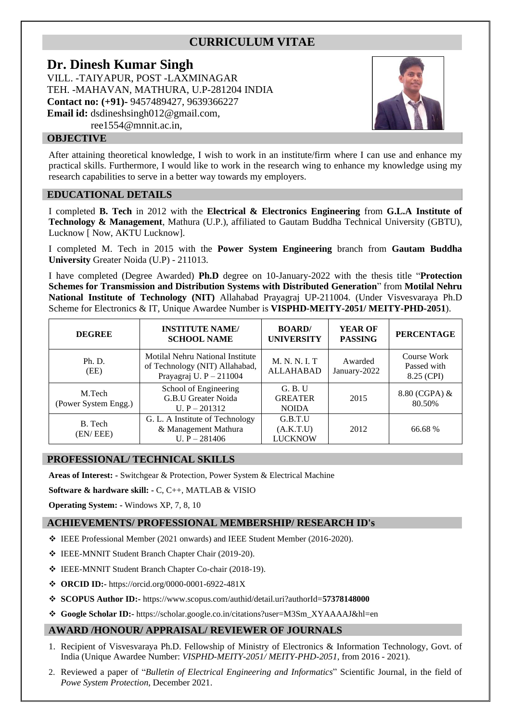# **CURRICULUM VITAE**

## **Dr. Dinesh Kumar Singh**

VILL. -TAIYAPUR, POST -LAXMINAGAR TEH. -MAHAVAN, MATHURA, U.P-281204 INDIA **Contact no: (+91)-** 9457489427, 9639366227 **Email id:** [dsdineshsingh012@gmail.com,](mailto:dsdineshsingh012@gmail.com) [ree1554@mnnit.ac.in,](mailto:ree1554@mnnit.ac.in)



## **OBJECTIVE**

After attaining theoretical knowledge, I wish to work in an institute/firm where I can use and enhance my practical skills. Furthermore, I would like to work in the research wing to enhance my knowledge using my research capabilities to serve in a better way towards my employers.

### **EDUCATIONAL DETAILS**

I completed **B. Tech** in 2012 with the **Electrical & Electronics Engineering** from **G.L.A Institute of Technology & Management**, Mathura (U.P.), affiliated to Gautam Buddha Technical University (GBTU), Lucknow [ Now, AKTU Lucknow].

I completed M. Tech in 2015 with the **Power System Engineering** branch from **Gautam Buddha University** Greater Noida (U.P) - 211013.

I have completed (Degree Awarded) **Ph.D** degree on 10-January-2022 with the thesis title "**Protection Schemes for Transmission and Distribution Systems with Distributed Generation**" from **Motilal Nehru National Institute of Technology (NIT)** Allahabad Prayagraj UP-211004. (Under [Visvesvaraya Ph.D](https://phd.dic.gov.in/myaccount.php)  [Scheme for Electronics & IT,](https://phd.dic.gov.in/myaccount.php) Unique Awardee Number is **VISPHD-MEITY-2051/ MEITY-PHD-2051**).

| <b>DEGREE</b>                  | <b>INSTITUTE NAME/</b><br><b>SCHOOL NAME</b>                                                    | <b>BOARD</b><br><b>UNIVERSITY</b>         | <b>YEAR OF</b><br><b>PASSING</b> | <b>PERCENTAGE</b>                        |
|--------------------------------|-------------------------------------------------------------------------------------------------|-------------------------------------------|----------------------------------|------------------------------------------|
| Ph. D.<br>(EE)                 | Motilal Nehru National Institute<br>of Technology (NIT) Allahabad,<br>Prayagraj U. $P - 211004$ | M. N. N. I. T<br><b>ALLAHABAD</b>         | Awarded<br>January-2022          | Course Work<br>Passed with<br>8.25 (CPI) |
| M.Tech<br>(Power System Engg.) | School of Engineering<br>G.B.U Greater Noida<br>U. $P - 201312$                                 | G. B. U<br><b>GREATER</b><br><b>NOIDA</b> | 2015                             | 8.80 (CGPA) &<br>80.50%                  |
| B. Tech<br>(EN/EEE)            | G. L. A Institute of Technology<br>& Management Mathura<br>U. $P - 281406$                      | G.B.T.U<br>(A.K.T.U)<br>LUCKNOW           | 2012                             | 66.68 %                                  |

#### **PROFESSIONAL/ TECHNICAL SKILLS**

**Areas of Interest: -** Switchgear & Protection, Power System & Electrical Machine

**Software & hardware skill: -** C, C++, MATLAB & VISIO

**Operating System: -** Windows XP, 7, 8, 10

## **ACHIEVEMENTS/ PROFESSIONAL MEMBERSHIP/ RESEARCH ID's**

- ❖ IEEE Professional Member (2021 onwards) and IEEE Student Member (2016-2020).
- ❖ IEEE-MNNIT Student Branch Chapter Chair (2019-20).
- ❖ IEEE-MNNIT Student Branch Chapter Co-chair (2018-19).
- ❖ **ORCID ID:-** https://orcid.org/0000-0001-6922-481X
- ❖ **SCOPUS Author ID:-** https://www.scopus.com/authid/detail.uri?authorId=**57378148000**
- ❖ **Google Scholar ID:-** [https://scholar.google.co.in/citations?user=M3Sm\\_XYAAAAJ&hl=en](https://scholar.google.co.in/citations?user=M3Sm_XYAAAAJ&hl=en)

## **AWARD /HONOUR/ APPRAISAL/ REVIEWER OF JOURNALS**

- 1. Recipient of Visvesvaraya Ph.D. Fellowship of Ministry of Electronics & Information Technology, Govt. of India (Unique Awardee Number: *VISPHD-MEITY-2051/ MEITY-PHD-2051*, from 2016 - 2021).
- 2. Reviewed a paper of "*Bulletin of Electrical Engineering and Informatics*" Scientific Journal, in the field of *Powe System Protection*, December 2021.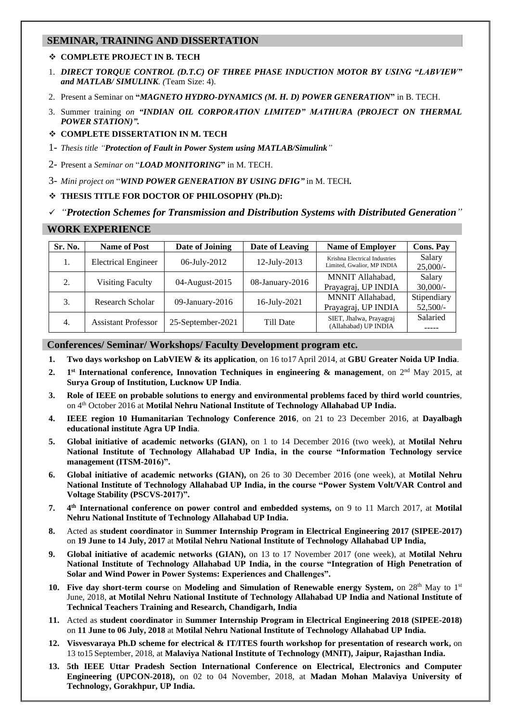## **SEMINAR, TRAINING AND DISSERTATION**

#### ❖ **COMPLETE PROJECT IN B. TECH**

- 1. *DIRECT TORQUE CONTROL (D.T.C) OF THREE PHASE INDUCTION MOTOR BY USING "LABVIEW" and MATLAB/ SIMULINK. (*Team Size: 4).
- 2. Present a Seminar on **"***MAGNETO HYDRO-DYNAMICS (M. H. D) POWER GENERATION***"** in B. TECH.
- 3. Summer training *on "INDIAN OIL CORPORATION LIMITED" MATHURA (PROJECT ON THERMAL POWER STATION)".*
- ❖ **COMPLETE DISSERTATION IN M. TECH**
- 1- *Thesis title "Protection of Fault in Power System using MATLAB/Simulink"*
- 2- Present a *Seminar on* "*LOAD MONITORING***"** in M. TECH.
- 3- *Mini project on* "*WIND POWER GENERATION BY USING DFIG"* in M. TECH*.*
- ❖ **THESIS TITLE FOR DOCTOR OF PHILOSOPHY (Ph.D):**

#### ✓ *"Protection Schemes for Transmission and Distribution Systems with Distributed Generation"*

#### **WORK EXPERIENCE**

| Sr. No. | <b>Name of Post</b>        | Date of Joining   | Date of Leaving | <b>Name of Employer</b>                                     | <b>Cons. Pay</b>          |
|---------|----------------------------|-------------------|-----------------|-------------------------------------------------------------|---------------------------|
| 1.      | <b>Electrical Engineer</b> | 06-July-2012      | 12-July-2013    | Krishna Electrical Industries<br>Limited, Gwalior, MP INDIA | Salary<br>$25,000/-$      |
| 2.      | <b>Visiting Faculty</b>    | 04-August-2015    | 08-January-2016 | MNNIT Allahabad,<br>Prayagraj, UP INDIA                     | Salary<br>$30,000/-$      |
| 3.      | Research Scholar           | 09-January-2016   | 16-July-2021    | MNNIT Allahabad,<br>Prayagraj, UP INDIA                     | Stipendiary<br>$52,500/-$ |
| 4.      | <b>Assistant Professor</b> | 25-September-2021 | Till Date       | SIET, Jhalwa, Prayagraj<br>(Allahabad) UP INDIA             | Salaried                  |

## **Conferences/ Seminar/ Workshops/ Faculty Development program etc.**

- **1. Two days workshop on LabVIEW & its application**, on 16 to17 April 2014, at **GBU Greater Noida UP India**.
- $2.$ **st International conference, Innovation Techniques in engineering & management**, on 2nd May 2015, at **Surya Group of Institution, Lucknow UP India**.
- **3. Role of IEEE on probable solutions to energy and environmental problems faced by third world countries**, on 4th October 2016 at **Motilal Nehru National Institute of Technology Allahabad UP India.**
- **4. IEEE region 10 Humanitarian Technology Conference 2016**, on 21 to 23 December 2016, at **Dayalbagh educational institute Agra UP India**.
- **5. Global initiative of academic networks (GIAN),** on 1 to 14 December 2016 (two week), at **Motilal Nehru National Institute of Technology Allahabad UP India, in the course "Information Technology service management (ITSM-2016)".**
- **6. Global initiative of academic networks (GIAN),** on 26 to 30 December 2016 (one week), at **Motilal Nehru National Institute of Technology Allahabad UP India, in the course "Power System Volt/VAR Control and Voltage Stability (PSCVS-2017)".**
- **7. 4 th International conference on power control and embedded systems,** on 9 to 11 March 2017, at **Motilal Nehru National Institute of Technology Allahabad UP India.**
- **8.** Acted as **student coordinator** in **Summer Internship Program in Electrical Engineering 2017 (SIPEE-2017)**  on **19 June to 14 July, 2017** at **Motilal Nehru National Institute of Technology Allahabad UP India,**
- **9. Global initiative of academic networks (GIAN),** on 13 to 17 November 2017 (one week), at **Motilal Nehru National Institute of Technology Allahabad UP India, in the course "Integration of High Penetration of Solar and Wind Power in Power Systems: Experiences and Challenges".**
- **10. Five day short-term course** on **Modeling and Simulation of Renewable energy System,** on 28th May to 1st June, 2018, **at Motilal Nehru National Institute of Technology Allahabad UP India and National Institute of Technical Teachers Training and Research, Chandigarh, India**
- **11.** Acted as **student coordinator** in **Summer Internship Program in Electrical Engineering 2018 (SIPEE-2018)**  on **11 June to 06 July, 2018** at **Motilal Nehru National Institute of Technology Allahabad UP India.**
- **12. Visvesvaraya Ph.D scheme for electrical & IT/ITES fourth workshop for presentation of research work,** on 13 to15 September, 2018, at **Malaviya National Institute of Technology (MNIT), Jaipur, Rajasthan India.**
- **13. 5th IEEE Uttar Pradesh Section International Conference on Electrical, Electronics and Computer Engineering (UPCON-2018),** on 02 to 04 November, 2018, at **Madan Mohan Malaviya University of Technology, Gorakhpur, UP India.**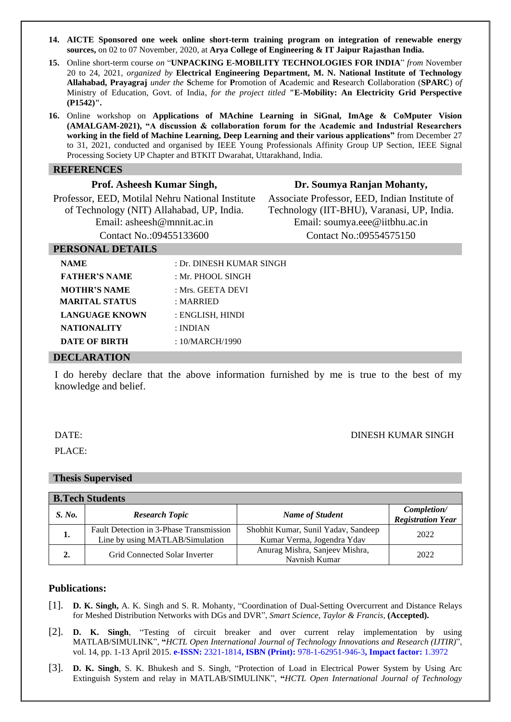- **14. AICTE Sponsored one week online short-term training program on integration of renewable energy sources,** on 02 to 07 November, 2020, at **Arya College of Engineering & IT Jaipur Rajasthan India.**
- **15.** Online short-term course *on* "**UNPACKING E-MOBILITY TECHNOLOGIES FOR INDIA**" *from* November 20 to 24, 2021, *organized by* **Electrical Engineering Department, M. N. National Institute of Technology Allahabad, Prayagraj** *under the* **S**cheme for **P**romotion of **A**cademic and **R**esearch **C**ollaboration (**SPARC**) *of*  Ministry of Education, Govt. of India, *for the project titled* **"E-Mobility: An Electricity Grid Perspective (P1542)".**
- **16.** Online workshop on **Applications of MAchine Learning in SiGnal, ImAge & CoMputer Vision (AMALGAM-2021), "A discussion & collaboration forum for the Academic and Industrial Researchers working in the field of Machine Learning, Deep Learning and their various applications"** from December 27 to 31, 2021, conducted and organised by IEEE Young Professionals Affinity Group UP Section, IEEE Signal Processing Society UP Chapter and BTKIT Dwarahat, Uttarakhand, India.

#### **REFERENCES**

| 1101, 1101100011 110111011 D111611,              |
|--------------------------------------------------|
| Professor, EED, Motilal Nehru National Institute |
| of Technology (NIT) Allahabad, UP, India.        |
| Email: asheesh@mnnit.ac.in                       |
| Contact No.:09455133600                          |

**Prof. Asheesh Kumar Singh,**

#### **Dr. Soumya Ranjan Mohanty,**

Associate Professor, EED, Indian Institute of Technology (IIT-BHU), Varanasi, UP, India. Email: [soumya.eee@iitbhu.ac.in](mailto:soumya.eee@iitbhu.ac.in) Contact No.:09554575150

#### **PERSONAL DETAILS**

| <b>NAME</b>           | : Dr. DINESH KUMAR SINGH |
|-----------------------|--------------------------|
| <b>FATHER'S NAME</b>  | : Mr. PHOOL SINGH        |
| <b>MOTHR'S NAME</b>   | : Mrs. GEETA DEVI        |
| <b>MARITAL STATUS</b> | : MARKIED                |
| <b>LANGUAGE KNOWN</b> | : ENGLISH, HINDI         |
| <b>NATIONALITY</b>    | : INDIAN                 |
| <b>DATE OF BIRTH</b>  | : $10/MARCH/1990$        |
| <b>DECLARATION</b>    |                          |

I do hereby declare that the above information furnished by me is true to the best of my knowledge and belief.

DATE: DINESH KUMAR SINGH

PLACE:

# **Thesis Supervised**

| <b>B.Tech Students</b> |                                                                            |                                                                   |                                         |  |  |
|------------------------|----------------------------------------------------------------------------|-------------------------------------------------------------------|-----------------------------------------|--|--|
| S. No.                 | <b>Research Topic</b>                                                      | <b>Name of Student</b>                                            | Completion/<br><b>Registration Year</b> |  |  |
| 1.                     | Fault Detection in 3-Phase Transmission<br>Line by using MATLAB/Simulation | Shobhit Kumar, Sunil Yadav, Sandeep<br>Kumar Verma, Jogendra Ydav | 2022                                    |  |  |
| $\overline{2}$ .       | Grid Connected Solar Inverter                                              | Anurag Mishra, Sanjeev Mishra,<br>Navnish Kumar                   | 2022                                    |  |  |

#### **Publications:**

- [1]. **D. K. Singh,** A. K. Singh and S. R. Mohanty, "Coordination of Dual-Setting Overcurrent and Distance Relays for Meshed Distribution Networks with DGs and DVR", *Smart Science, Taylor & Francis,* **(Accepted).**
- [2]. **D. K. Singh**, "Testing of circuit breaker and over current relay implementation by using MATLAB/SIMULINK", **"***HCTL Open International Journal of Technology Innovations and Research (IJTIR)*", vol. 14, pp. 1-13 April 2015. **e-ISSN:** 2321-1814**, ISBN (Print):** 978-1-62951-946-3**, Impact factor:** 1.3972
- [3]. **D. K. Singh**, S. K. Bhukesh and S. Singh, "Protection of Load in Electrical Power System by Using Arc Extinguish System and relay in MATLAB/SIMULINK", **"***HCTL Open International Journal of Technology*